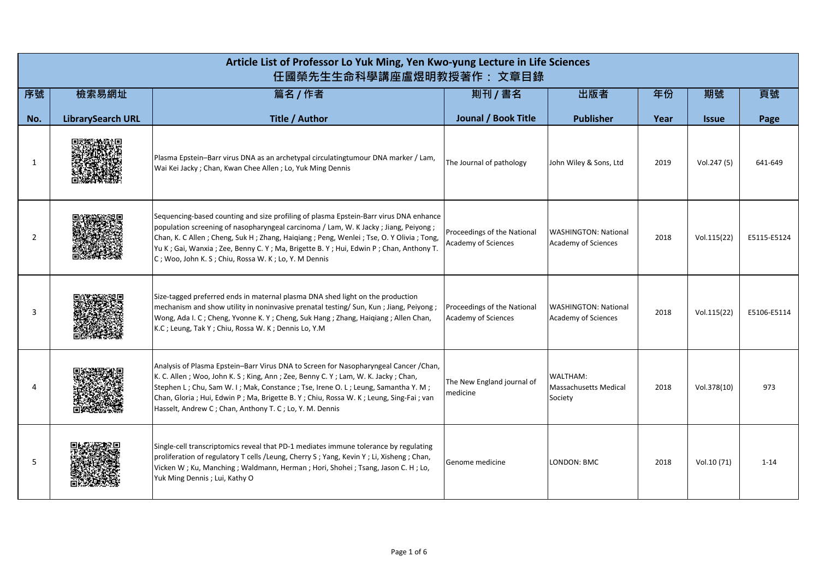|                | Article List of Professor Lo Yuk Ming, Yen Kwo-yung Lecture in Life Sciences<br>任國榮先生生命科學講座盧煜明教授著作: 文章目錄 |                                                                                                                                                                                                                                                                                                                                                                                                                         |                                                    |                                                     |      |              |             |  |  |  |
|----------------|----------------------------------------------------------------------------------------------------------|-------------------------------------------------------------------------------------------------------------------------------------------------------------------------------------------------------------------------------------------------------------------------------------------------------------------------------------------------------------------------------------------------------------------------|----------------------------------------------------|-----------------------------------------------------|------|--------------|-------------|--|--|--|
| 序號             | 檢索易網址                                                                                                    | 篇名 / 作者                                                                                                                                                                                                                                                                                                                                                                                                                 | 則刊 / 書名                                            | 出版者                                                 | 年份   | 期號           | 頁號          |  |  |  |
| No.            | <b>LibrarySearch URL</b>                                                                                 | Title / Author                                                                                                                                                                                                                                                                                                                                                                                                          | Jounal / Book Title                                | <b>Publisher</b>                                    | Year | <b>Issue</b> | Page        |  |  |  |
| 1              |                                                                                                          | Plasma Epstein-Barr virus DNA as an archetypal circulatingtumour DNA marker / Lam,<br>Wai Kei Jacky ; Chan, Kwan Chee Allen ; Lo, Yuk Ming Dennis                                                                                                                                                                                                                                                                       | The Journal of pathology                           | John Wiley & Sons, Ltd                              | 2019 | Vol.247 (5)  | 641-649     |  |  |  |
| $\overline{2}$ |                                                                                                          | Sequencing-based counting and size profiling of plasma Epstein-Barr virus DNA enhance<br>population screening of nasopharyngeal carcinoma / Lam, W. K Jacky; Jiang, Peiyong;<br>Chan, K. C Allen; Cheng, Suk H; Zhang, Haiqiang; Peng, Wenlei; Tse, O. Y Olivia; Tong,<br>Yu K; Gai, Wanxia; Zee, Benny C. Y; Ma, Brigette B. Y; Hui, Edwin P; Chan, Anthony T.<br>C; Woo, John K. S; Chiu, Rossa W. K; Lo, Y. M Dennis | Proceedings of the National<br>Academy of Sciences | <b>WASHINGTON: National</b><br>Academy of Sciences  | 2018 | Vol.115(22)  | E5115-E5124 |  |  |  |
| 3              |                                                                                                          | Size-tagged preferred ends in maternal plasma DNA shed light on the production<br>mechanism and show utility in noninvasive prenatal testing/ Sun, Kun; Jiang, Peiyong;<br>Wong, Ada I. C; Cheng, Yvonne K. Y; Cheng, Suk Hang; Zhang, Haiqiang; Allen Chan,<br>K.C; Leung, Tak Y; Chiu, Rossa W. K; Dennis Lo, Y.M                                                                                                     | Proceedings of the National<br>Academy of Sciences | <b>WASHINGTON: National</b><br>Academy of Sciences  | 2018 | Vol.115(22)  | E5106-E5114 |  |  |  |
| 4              |                                                                                                          | Analysis of Plasma Epstein-Barr Virus DNA to Screen for Nasopharyngeal Cancer / Chan,<br>K. C. Allen; Woo, John K. S; King, Ann; Zee, Benny C. Y; Lam, W. K. Jacky; Chan,<br>Stephen L; Chu, Sam W. I; Mak, Constance; Tse, Irene O. L; Leung, Samantha Y. M;<br>Chan, Gloria ; Hui, Edwin P ; Ma, Brigette B. Y ; Chiu, Rossa W. K ; Leung, Sing-Fai ; van<br>Hasselt, Andrew C; Chan, Anthony T. C; Lo, Y. M. Dennis  | The New England journal of<br>medicine             | WALTHAM:<br><b>Massachusetts Medical</b><br>Society | 2018 | Vol.378(10)  | 973         |  |  |  |
| 5              |                                                                                                          | Single-cell transcriptomics reveal that PD-1 mediates immune tolerance by regulating<br>proliferation of regulatory T cells /Leung, Cherry S; Yang, Kevin Y; Li, Xisheng; Chan,<br>Vicken W; Ku, Manching; Waldmann, Herman; Hori, Shohei; Tsang, Jason C. H; Lo,<br>Yuk Ming Dennis; Lui, Kathy O                                                                                                                      | Genome medicine                                    | LONDON: BMC                                         | 2018 | Vol.10 (71)  | $1 - 14$    |  |  |  |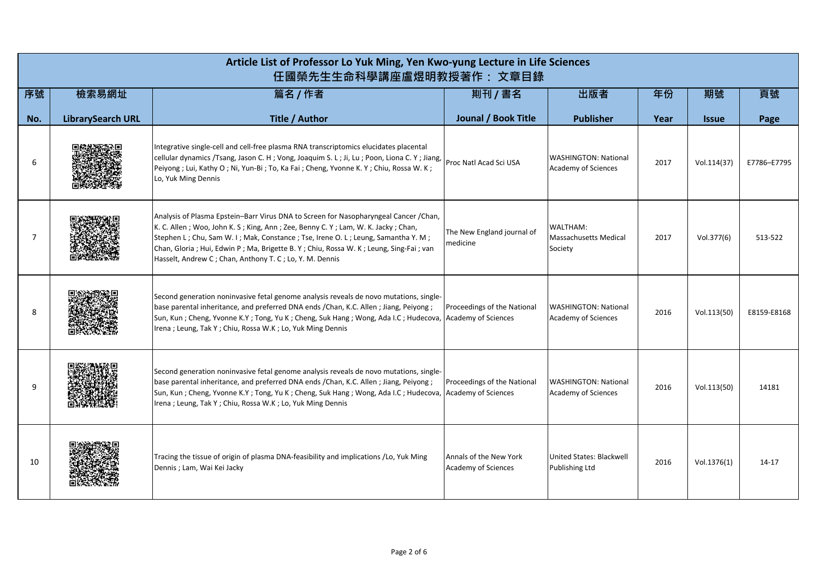|     | Article List of Professor Lo Yuk Ming, Yen Kwo-yung Lecture in Life Sciences<br>任國榮先生生命科學講座盧煜明教授著作: 文章目錄 |                                                                                                                                                                                                                                                                                                                                                                                                                        |                                                    |                                                     |      |              |             |  |  |
|-----|----------------------------------------------------------------------------------------------------------|------------------------------------------------------------------------------------------------------------------------------------------------------------------------------------------------------------------------------------------------------------------------------------------------------------------------------------------------------------------------------------------------------------------------|----------------------------------------------------|-----------------------------------------------------|------|--------------|-------------|--|--|
| 序號  | 檢索易網址                                                                                                    | 篇名 / 作者                                                                                                                                                                                                                                                                                                                                                                                                                | 剘刊 / 書名                                            | 出版者                                                 | 年份   | 期號           | 頁號          |  |  |
| No. | <b>LibrarySearch URL</b>                                                                                 | Title / Author                                                                                                                                                                                                                                                                                                                                                                                                         | Jounal / Book Title                                | <b>Publisher</b>                                    | Year | <b>Issue</b> | Page        |  |  |
| 6   |                                                                                                          | Integrative single-cell and cell-free plasma RNA transcriptomics elucidates placental<br>cellular dynamics /Tsang, Jason C. H ; Vong, Joaquim S. L ; Ji, Lu ; Poon, Liona C. Y ; Jiang,<br>Peiyong; Lui, Kathy O; Ni, Yun-Bi; To, Ka Fai; Cheng, Yvonne K. Y; Chiu, Rossa W. K;<br>Lo, Yuk Ming Dennis                                                                                                                 | Proc Natl Acad Sci USA                             | <b>WASHINGTON: National</b><br>Academy of Sciences  | 2017 | Vol.114(37)  | E7786-E7795 |  |  |
| 7   |                                                                                                          | Analysis of Plasma Epstein-Barr Virus DNA to Screen for Nasopharyngeal Cancer / Chan,<br>K. C. Allen; Woo, John K. S; King, Ann; Zee, Benny C. Y; Lam, W. K. Jacky; Chan,<br>Stephen L; Chu, Sam W. I; Mak, Constance; Tse, Irene O. L; Leung, Samantha Y. M;<br>Chan, Gloria ; Hui, Edwin P ; Ma, Brigette B. Y ; Chiu, Rossa W. K ; Leung, Sing-Fai ; van<br>Hasselt, Andrew C; Chan, Anthony T. C; Lo, Y. M. Dennis | The New England journal of<br>medicine             | WALTHAM:<br><b>Massachusetts Medical</b><br>Society | 2017 | Vol.377(6)   | 513-522     |  |  |
| 8   |                                                                                                          | Second generation noninvasive fetal genome analysis reveals de novo mutations, single-<br>base parental inheritance, and preferred DNA ends / Chan, K.C. Allen; Jiang, Peiyong;<br>Sun, Kun; Cheng, Yvonne K.Y; Tong, Yu K; Cheng, Suk Hang; Wong, Ada I.C; Hudecova, Academy of Sciences<br>Irena; Leung, Tak Y; Chiu, Rossa W.K; Lo, Yuk Ming Dennis                                                                 | Proceedings of the National                        | <b>WASHINGTON: National</b><br>Academy of Sciences  | 2016 | Vol.113(50)  | E8159-E8168 |  |  |
| 9   |                                                                                                          | Second generation noninvasive fetal genome analysis reveals de novo mutations, single-<br>base parental inheritance, and preferred DNA ends / Chan, K.C. Allen; Jiang, Peiyong;<br>Sun, Kun; Cheng, Yvonne K.Y; Tong, Yu K; Cheng, Suk Hang; Wong, Ada I.C; Hudecova,<br>Irena; Leung, Tak Y; Chiu, Rossa W.K; Lo, Yuk Ming Dennis                                                                                     | Proceedings of the National<br>Academy of Sciences | <b>WASHINGTON: National</b><br>Academy of Sciences  | 2016 | Vol.113(50)  | 14181       |  |  |
| 10  |                                                                                                          | Tracing the tissue of origin of plasma DNA-feasibility and implications /Lo, Yuk Ming<br>Dennis; Lam, Wai Kei Jacky                                                                                                                                                                                                                                                                                                    | Annals of the New York<br>Academy of Sciences      | United States: Blackwell<br><b>Publishing Ltd</b>   | 2016 | Vol.1376(1)  | $14 - 17$   |  |  |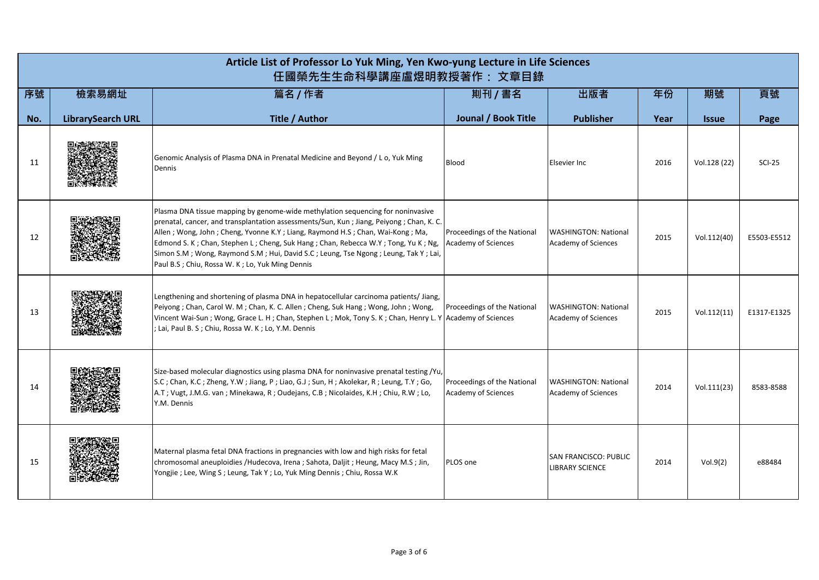|     | Article List of Professor Lo Yuk Ming, Yen Kwo-yung Lecture in Life Sciences<br>任國榮先生生命科學講座盧煜明教授著作: 文章目錄 |                                                                                                                                                                                                                                                                                                                                                                                                                                                                                                    |                                                           |                                                    |      |                     |             |  |  |
|-----|----------------------------------------------------------------------------------------------------------|----------------------------------------------------------------------------------------------------------------------------------------------------------------------------------------------------------------------------------------------------------------------------------------------------------------------------------------------------------------------------------------------------------------------------------------------------------------------------------------------------|-----------------------------------------------------------|----------------------------------------------------|------|---------------------|-------------|--|--|
| 序號  | 檢索易網址                                                                                                    | 篇名 / 作者                                                                                                                                                                                                                                                                                                                                                                                                                                                                                            | 則刊 / 書名                                                   | 出版者                                                | 年份   | 期號                  | 頁號          |  |  |
| No. | <b>LibrarySearch URL</b>                                                                                 | Title / Author                                                                                                                                                                                                                                                                                                                                                                                                                                                                                     | Jounal / Book Title                                       | <b>Publisher</b>                                   | Year | <i><b>Issue</b></i> | Page        |  |  |
| 11  |                                                                                                          | Genomic Analysis of Plasma DNA in Prenatal Medicine and Beyond / L o, Yuk Ming<br>Dennis                                                                                                                                                                                                                                                                                                                                                                                                           | <b>Blood</b>                                              | Elsevier Inc                                       | 2016 | Vol.128 (22)        | $SCI-25$    |  |  |
| 12  |                                                                                                          | Plasma DNA tissue mapping by genome-wide methylation sequencing for noninvasive<br>prenatal, cancer, and transplantation assessments/Sun, Kun ; Jiang, Peiyong ; Chan, K. C.<br>Allen; Wong, John; Cheng, Yvonne K.Y; Liang, Raymond H.S; Chan, Wai-Kong; Ma,<br>Edmond S. K; Chan, Stephen L; Cheng, Suk Hang; Chan, Rebecca W.Y; Tong, Yu K; Ng,<br>Simon S.M ; Wong, Raymond S.M ; Hui, David S.C ; Leung, Tse Ngong ; Leung, Tak Y ; Lai,<br>Paul B.S ; Chiu, Rossa W. K ; Lo, Yuk Ming Dennis | Proceedings of the National<br>Academy of Sciences        | <b>WASHINGTON: National</b><br>Academy of Sciences | 2015 | Vol.112(40)         | E5503-E5512 |  |  |
| 13  |                                                                                                          | Lengthening and shortening of plasma DNA in hepatocellular carcinoma patients/ Jiang,<br>Peiyong; Chan, Carol W. M; Chan, K. C. Allen; Cheng, Suk Hang; Wong, John; Wong,<br>Vincent Wai-Sun; Wong, Grace L. H; Chan, Stephen L; Mok, Tony S. K; Chan, Henry L. Y Academy of Sciences<br>; Lai, Paul B. S ; Chiu, Rossa W. K ; Lo, Y.M. Dennis                                                                                                                                                     | Proceedings of the National                               | <b>WASHINGTON: National</b><br>Academy of Sciences | 2015 | Vol.112(11)         | E1317-E1325 |  |  |
| 14  |                                                                                                          | Size-based molecular diagnostics using plasma DNA for noninvasive prenatal testing /Yu,<br>S.C; Chan, K.C; Zheng, Y.W; Jiang, P; Liao, G.J; Sun, H; Akolekar, R; Leung, T.Y; Go,<br>A.T; Vugt, J.M.G. van; Minekawa, R; Oudejans, C.B; Nicolaides, K.H; Chiu, R.W; Lo,<br>Y.M. Dennis                                                                                                                                                                                                              | Proceedings of the National<br><b>Academy of Sciences</b> | <b>WASHINGTON: National</b><br>Academy of Sciences | 2014 | Vol.111(23)         | 8583-8588   |  |  |
| 15  |                                                                                                          | Maternal plasma fetal DNA fractions in pregnancies with low and high risks for fetal<br>chromosomal aneuploidies / Hudecova, Irena ; Sahota, Daljit ; Heung, Macy M.S ; Jin,<br>Yongjie ; Lee, Wing S ; Leung, Tak Y ; Lo, Yuk Ming Dennis ; Chiu, Rossa W.K                                                                                                                                                                                                                                       | PLOS one                                                  | SAN FRANCISCO: PUBLIC<br><b>LIBRARY SCIENCE</b>    | 2014 | Vol.9(2)            | e88484      |  |  |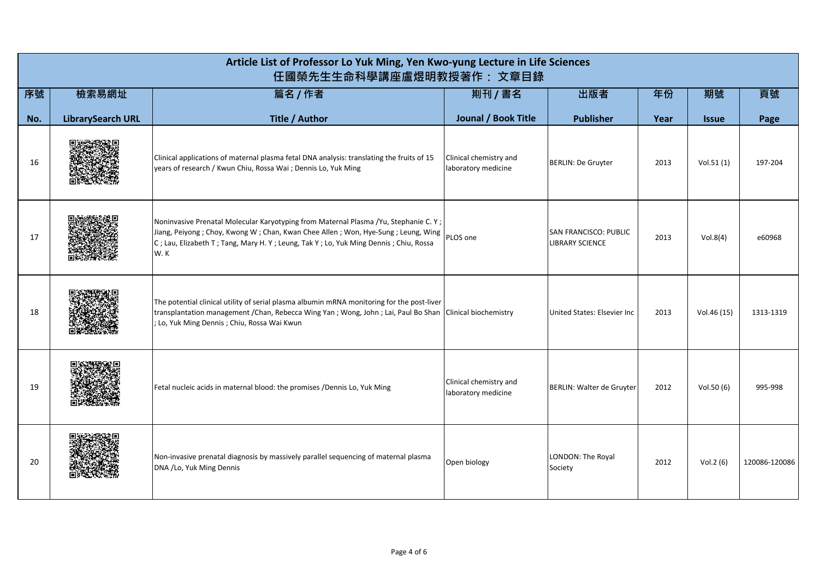|     | Article List of Professor Lo Yuk Ming, Yen Kwo-yung Lecture in Life Sciences<br>任國榮先生生命科學講座盧煜明教授著作: 文章目錄 |                                                                                                                                                                                                                                                                         |                                               |                                                 |      |              |               |  |  |
|-----|----------------------------------------------------------------------------------------------------------|-------------------------------------------------------------------------------------------------------------------------------------------------------------------------------------------------------------------------------------------------------------------------|-----------------------------------------------|-------------------------------------------------|------|--------------|---------------|--|--|
| 序號  | 檢索易網址                                                                                                    | 篇名 / 作者                                                                                                                                                                                                                                                                 | 剘刊 / 書名                                       | 出版者                                             | 年份   | 期號           | 頁號            |  |  |
| No. | <b>LibrarySearch URL</b>                                                                                 | Title / Author                                                                                                                                                                                                                                                          | Jounal / Book Title                           | <b>Publisher</b>                                | Year | <b>Issue</b> | Page          |  |  |
| 16  |                                                                                                          | Clinical applications of maternal plasma fetal DNA analysis: translating the fruits of 15<br>years of research / Kwun Chiu, Rossa Wai ; Dennis Lo, Yuk Ming                                                                                                             | Clinical chemistry and<br>laboratory medicine | <b>BERLIN: De Gruyter</b>                       | 2013 | Vol.51(1)    | 197-204       |  |  |
| 17  |                                                                                                          | Noninvasive Prenatal Molecular Karyotyping from Maternal Plasma /Yu, Stephanie C. Y;<br>Jiang, Peiyong; Choy, Kwong W; Chan, Kwan Chee Allen; Won, Hye-Sung; Leung, Wing<br>C; Lau, Elizabeth T; Tang, Mary H. Y; Leung, Tak Y; Lo, Yuk Ming Dennis; Chiu, Rossa<br>W.K | PLOS one                                      | SAN FRANCISCO: PUBLIC<br><b>LIBRARY SCIENCE</b> | 2013 | Vol.8(4)     | e60968        |  |  |
| 18  |                                                                                                          | The potential clinical utility of serial plasma albumin mRNA monitoring for the post-liver<br>transplantation management / Chan, Rebecca Wing Yan ; Wong, John ; Lai, Paul Bo Shan   Clinical biochemistry<br>; Lo, Yuk Ming Dennis ; Chiu, Rossa Wai Kwun              |                                               | United States: Elsevier Inc.                    | 2013 | Vol.46 (15)  | 1313-1319     |  |  |
| 19  |                                                                                                          | Fetal nucleic acids in maternal blood: the promises /Dennis Lo, Yuk Ming                                                                                                                                                                                                | Clinical chemistry and<br>laboratory medicine | <b>BERLIN: Walter de Gruyter</b>                | 2012 | Vol.50(6)    | 995-998       |  |  |
| 20  |                                                                                                          | Non-invasive prenatal diagnosis by massively parallel sequencing of maternal plasma<br>DNA /Lo, Yuk Ming Dennis                                                                                                                                                         | Open biology                                  | LONDON: The Royal<br>Society                    | 2012 | Vol.2 (6)    | 120086-120086 |  |  |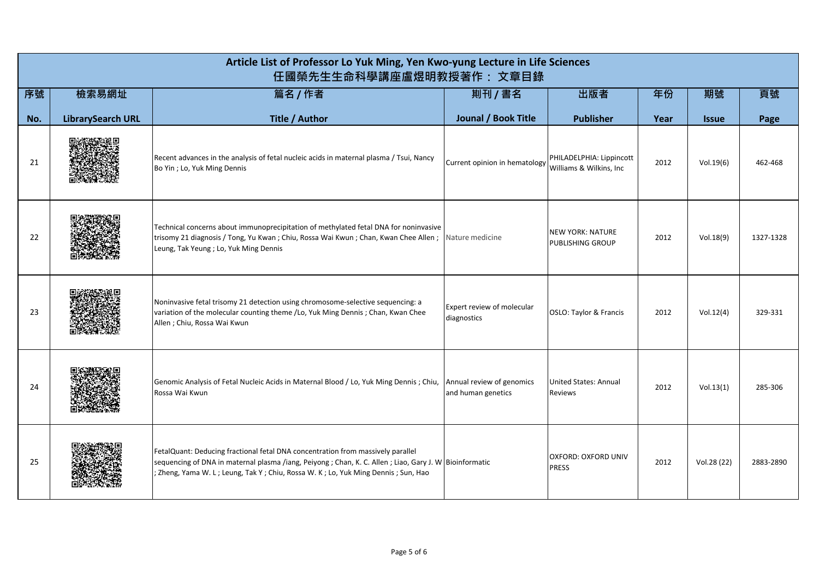|     | Article List of Professor Lo Yuk Ming, Yen Kwo-yung Lecture in Life Sciences<br>任國榮先生生命科學講座盧煜明教授著作: 文章目錄 |                                                                                                                                                                                                                                                                                 |                                                 |                                                     |      |                     |           |  |  |
|-----|----------------------------------------------------------------------------------------------------------|---------------------------------------------------------------------------------------------------------------------------------------------------------------------------------------------------------------------------------------------------------------------------------|-------------------------------------------------|-----------------------------------------------------|------|---------------------|-----------|--|--|
| 序號  | 檢索易網址                                                                                                    | 篇名 / 作者                                                                                                                                                                                                                                                                         | 則刊 / 書名                                         | 出版者                                                 | 年份   | 期號                  | 頁號        |  |  |
| No. | <b>LibrarySearch URL</b>                                                                                 | Title / Author                                                                                                                                                                                                                                                                  | Jounal / Book Title                             | <b>Publisher</b>                                    | Year | <i><b>Issue</b></i> | Page      |  |  |
| 21  |                                                                                                          | Recent advances in the analysis of fetal nucleic acids in maternal plasma / Tsui, Nancy<br>Bo Yin ; Lo, Yuk Ming Dennis                                                                                                                                                         | Current opinion in hematology                   | PHILADELPHIA: Lippincott<br>Williams & Wilkins, Inc | 2012 | Vol.19(6)           | 462-468   |  |  |
| 22  |                                                                                                          | Technical concerns about immunoprecipitation of methylated fetal DNA for noninvasive<br>trisomy 21 diagnosis / Tong, Yu Kwan; Chiu, Rossa Wai Kwun; Chan, Kwan Chee Allen;<br>Leung, Tak Yeung; Lo, Yuk Ming Dennis                                                             | Nature medicine                                 | <b>NEW YORK: NATURE</b><br><b>PUBLISHING GROUP</b>  | 2012 | Vol.18(9)           | 1327-1328 |  |  |
| 23  |                                                                                                          | Noninvasive fetal trisomy 21 detection using chromosome-selective sequencing: a<br>variation of the molecular counting theme /Lo, Yuk Ming Dennis; Chan, Kwan Chee<br>Allen; Chiu, Rossa Wai Kwun                                                                               | Expert review of molecular<br>diagnostics       | OSLO: Taylor & Francis                              | 2012 | Vol.12(4)           | 329-331   |  |  |
| 24  |                                                                                                          | Genomic Analysis of Fetal Nucleic Acids in Maternal Blood / Lo, Yuk Ming Dennis; Chiu,<br>Rossa Wai Kwun                                                                                                                                                                        | Annual review of genomics<br>and human genetics | United States: Annual<br><b>Reviews</b>             | 2012 | Vol.13(1)           | 285-306   |  |  |
| 25  |                                                                                                          | FetalQuant: Deducing fractional fetal DNA concentration from massively parallel<br>sequencing of DNA in maternal plasma /iang, Peiyong ; Chan, K. C. Allen ; Liao, Gary J. W Bioinformatic<br>; Zheng, Yama W. L; Leung, Tak Y; Chiu, Rossa W. K; Lo, Yuk Ming Dennis; Sun, Hao |                                                 | <b>OXFORD: OXFORD UNIV</b><br><b>PRESS</b>          | 2012 | Vol.28 (22)         | 2883-2890 |  |  |